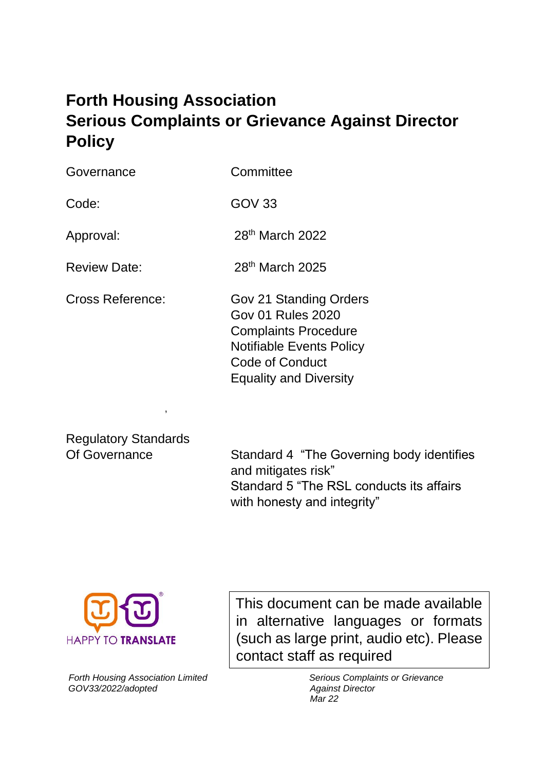# **Forth Housing Association Serious Complaints or Grievance Against Director Policy**

Governance Committee

Code: GOV 33

Approval: 28<sup>th</sup> March 2022

Review Date: 28<sup>th</sup> March 2025

Cross Reference: Gov 21 Standing Orders Gov 01 Rules 2020 Complaints Procedure Notifiable Events Policy Code of Conduct Equality and Diversity

Regulatory Standards

,

Of Governance Standard 4 "The Governing body identifies and mitigates risk" Standard 5 "The RSL conducts its affairs with honesty and integrity"



contact staff as required This document can be made available in alternative languages or formats (such as large print, audio etc). Please

*Forth Housing Association Limited Serious Complaints or Grievance GOV33/2022/adopted Against Director* 

 *Mar 22*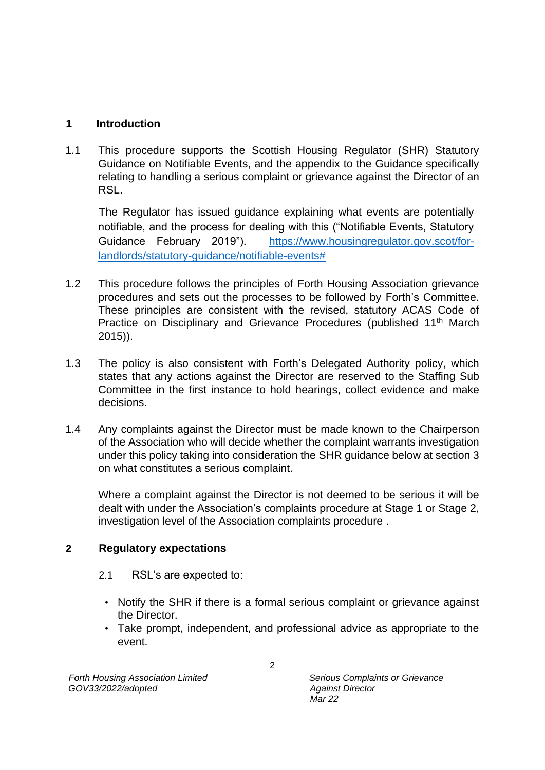#### **1 Introduction**

1.1 This procedure supports the Scottish Housing Regulator (SHR) Statutory Guidance on Notifiable Events, and the appendix to the Guidance specifically relating to handling a serious complaint or grievance against the Director of an RSL.

The Regulator has issued guidance explaining what events are potentially notifiable, and the process for dealing with this ("Notifiable Events, Statutory Guidance February 2019"). [https://www.housingregulator.gov.scot/for](https://www.housingregulator.gov.scot/for-landlords/statutory-guidance/notifiable-events)[landlords/statutory-guidance/notifiable-events#](https://www.housingregulator.gov.scot/for-landlords/statutory-guidance/notifiable-events)

- 1.2 This procedure follows the principles of Forth Housing Association grievance procedures and sets out the processes to be followed by Forth's Committee. These principles are consistent with the revised, statutory ACAS Code of Practice on Disciplinary and Grievance Procedures (published 11<sup>th</sup> March 2015)).
- 1.3 The policy is also consistent with Forth's Delegated Authority policy, which states that any actions against the Director are reserved to the Staffing Sub Committee in the first instance to hold hearings, collect evidence and make decisions.
- 1.4 Any complaints against the Director must be made known to the Chairperson of the Association who will decide whether the complaint warrants investigation under this policy taking into consideration the SHR guidance below at section 3 on what constitutes a serious complaint.

Where a complaint against the Director is not deemed to be serious it will be dealt with under the Association's complaints procedure at Stage 1 or Stage 2, investigation level of the Association complaints procedure .

#### **2 Regulatory expectations**

- 2.1 RSL's are expected to:
	- Notify the SHR if there is a formal serious complaint or grievance against the Director.
	- Take prompt, independent, and professional advice as appropriate to the event.

 *Mar 22*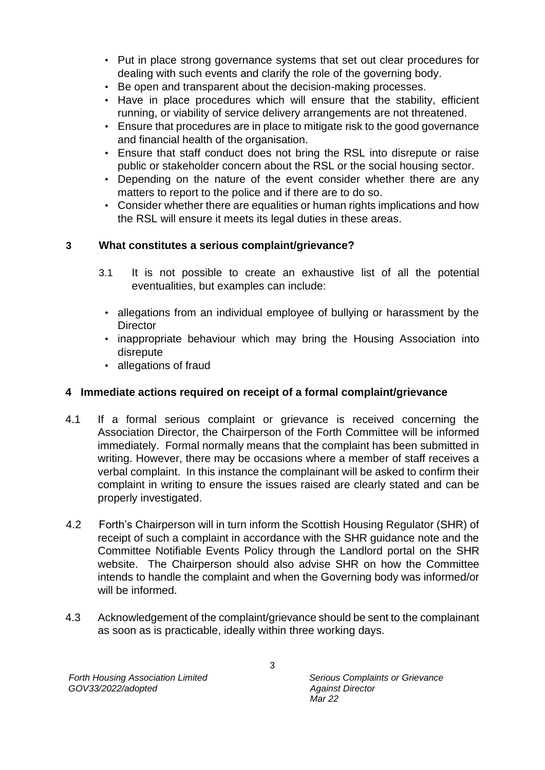- Put in place strong governance systems that set out clear procedures for dealing with such events and clarify the role of the governing body.
- Be open and transparent about the decision-making processes.
- Have in place procedures which will ensure that the stability, efficient running, or viability of service delivery arrangements are not threatened.
- Ensure that procedures are in place to mitigate risk to the good governance and financial health of the organisation.
- Ensure that staff conduct does not bring the RSL into disrepute or raise public or stakeholder concern about the RSL or the social housing sector.
- Depending on the nature of the event consider whether there are any matters to report to the police and if there are to do so.
- Consider whether there are equalities or human rights implications and how the RSL will ensure it meets its legal duties in these areas.

# **3 What constitutes a serious complaint/grievance?**

- 3.1 It is not possible to create an exhaustive list of all the potential eventualities, but examples can include:
	- allegations from an individual employee of bullying or harassment by the **Director**
	- inappropriate behaviour which may bring the Housing Association into disrepute
	- allegations of fraud

# **4 Immediate actions required on receipt of a formal complaint/grievance**

- 4.1 If a formal serious complaint or grievance is received concerning the Association Director, the Chairperson of the Forth Committee will be informed immediately. Formal normally means that the complaint has been submitted in writing. However, there may be occasions where a member of staff receives a verbal complaint. In this instance the complainant will be asked to confirm their complaint in writing to ensure the issues raised are clearly stated and can be properly investigated.
- 4.2 Forth's Chairperson will in turn inform the Scottish Housing Regulator (SHR) of receipt of such a complaint in accordance with the SHR guidance note and the Committee Notifiable Events Policy through the Landlord portal on the SHR website. The Chairperson should also advise SHR on how the Committee intends to handle the complaint and when the Governing body was informed/or will be informed.
- 4.3 Acknowledgement of the complaint/grievance should be sent to the complainant as soon as is practicable, ideally within three working days.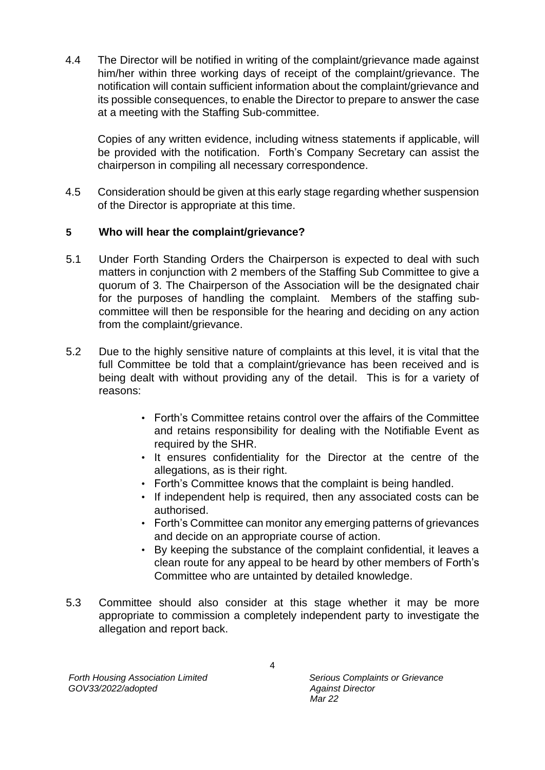4.4 The Director will be notified in writing of the complaint/grievance made against him/her within three working days of receipt of the complaint/grievance. The notification will contain sufficient information about the complaint/grievance and its possible consequences, to enable the Director to prepare to answer the case at a meeting with the Staffing Sub-committee.

Copies of any written evidence, including witness statements if applicable, will be provided with the notification. Forth's Company Secretary can assist the chairperson in compiling all necessary correspondence.

4.5 Consideration should be given at this early stage regarding whether suspension of the Director is appropriate at this time.

#### **5 Who will hear the complaint/grievance?**

- 5.1 Under Forth Standing Orders the Chairperson is expected to deal with such matters in conjunction with 2 members of the Staffing Sub Committee to give a quorum of 3. The Chairperson of the Association will be the designated chair for the purposes of handling the complaint. Members of the staffing subcommittee will then be responsible for the hearing and deciding on any action from the complaint/grievance.
- 5.2 Due to the highly sensitive nature of complaints at this level, it is vital that the full Committee be told that a complaint/grievance has been received and is being dealt with without providing any of the detail. This is for a variety of reasons:
	- Forth's Committee retains control over the affairs of the Committee and retains responsibility for dealing with the Notifiable Event as required by the SHR.
	- It ensures confidentiality for the Director at the centre of the allegations, as is their right.
	- Forth's Committee knows that the complaint is being handled.
	- If independent help is required, then any associated costs can be authorised.
	- Forth's Committee can monitor any emerging patterns of grievances and decide on an appropriate course of action.
	- By keeping the substance of the complaint confidential, it leaves a clean route for any appeal to be heard by other members of Forth's Committee who are untainted by detailed knowledge.
- 5.3 Committee should also consider at this stage whether it may be more appropriate to commission a completely independent party to investigate the allegation and report back.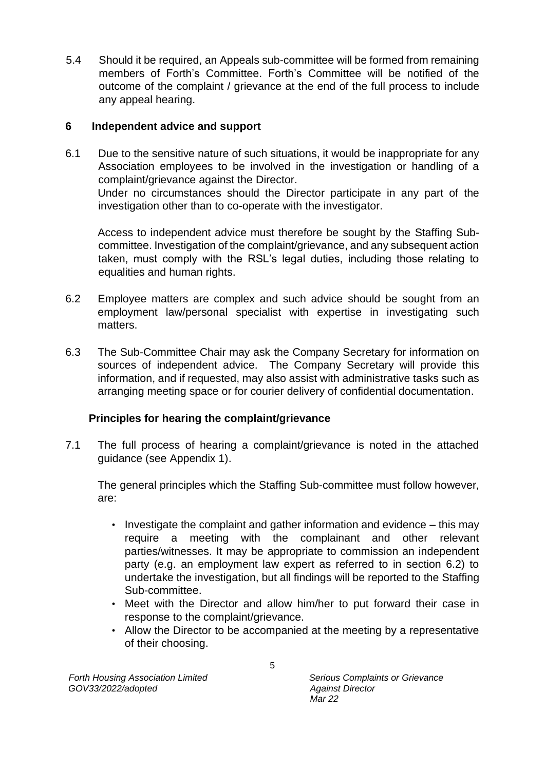5.4 Should it be required, an Appeals sub-committee will be formed from remaining members of Forth's Committee. Forth's Committee will be notified of the outcome of the complaint / grievance at the end of the full process to include any appeal hearing.

#### **6 Independent advice and support**

6.1 Due to the sensitive nature of such situations, it would be inappropriate for any Association employees to be involved in the investigation or handling of a complaint/grievance against the Director. Under no circumstances should the Director participate in any part of the investigation other than to co-operate with the investigator.

Access to independent advice must therefore be sought by the Staffing Subcommittee. Investigation of the complaint/grievance, and any subsequent action taken, must comply with the RSL's legal duties, including those relating to equalities and human rights.

- 6.2 Employee matters are complex and such advice should be sought from an employment law/personal specialist with expertise in investigating such matters.
- 6.3 The Sub-Committee Chair may ask the Company Secretary for information on sources of independent advice. The Company Secretary will provide this information, and if requested, may also assist with administrative tasks such as arranging meeting space or for courier delivery of confidential documentation.

# **Principles for hearing the complaint/grievance**

7.1 The full process of hearing a complaint/grievance is noted in the attached guidance (see Appendix 1).

The general principles which the Staffing Sub-committee must follow however, are:

- Investigate the complaint and gather information and evidence this may require a meeting with the complainant and other relevant parties/witnesses. It may be appropriate to commission an independent party (e.g. an employment law expert as referred to in section 6.2) to undertake the investigation, but all findings will be reported to the Staffing Sub-committee.
- Meet with the Director and allow him/her to put forward their case in response to the complaint/grievance.
- Allow the Director to be accompanied at the meeting by a representative of their choosing.

*Forth Housing Association Limited Serious Complaints or Grievance GOV33/2022/adopted Against Director* 

 *Mar 22*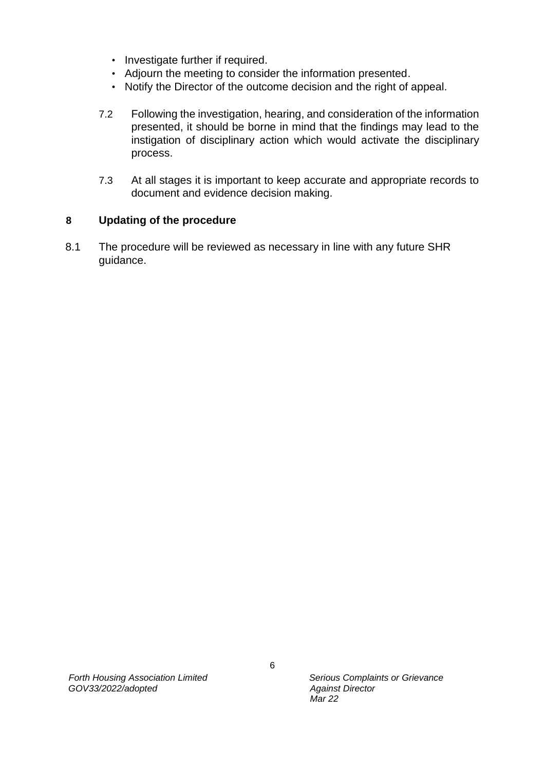- Investigate further if required.
- Adjourn the meeting to consider the information presented.
- Notify the Director of the outcome decision and the right of appeal.
- 7.2 Following the investigation, hearing, and consideration of the information presented, it should be borne in mind that the findings may lead to the instigation of disciplinary action which would activate the disciplinary process.
- 7.3 At all stages it is important to keep accurate and appropriate records to document and evidence decision making.

#### **8 Updating of the procedure**

8.1 The procedure will be reviewed as necessary in line with any future SHR guidance.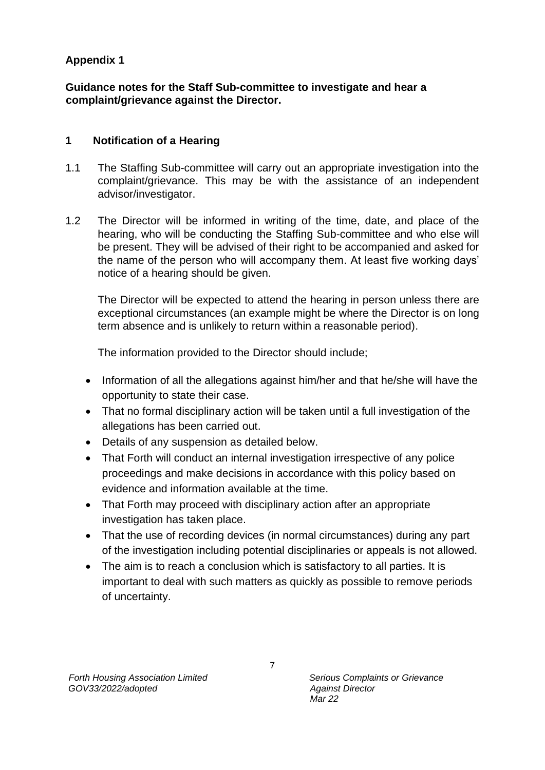# **Appendix 1**

**Guidance notes for the Staff Sub-committee to investigate and hear a complaint/grievance against the Director.** 

#### **1 Notification of a Hearing**

- 1.1 The Staffing Sub-committee will carry out an appropriate investigation into the complaint/grievance. This may be with the assistance of an independent advisor/investigator.
- 1.2 The Director will be informed in writing of the time, date, and place of the hearing, who will be conducting the Staffing Sub-committee and who else will be present. They will be advised of their right to be accompanied and asked for the name of the person who will accompany them. At least five working days' notice of a hearing should be given.

The Director will be expected to attend the hearing in person unless there are exceptional circumstances (an example might be where the Director is on long term absence and is unlikely to return within a reasonable period).

The information provided to the Director should include;

- Information of all the allegations against him/her and that he/she will have the opportunity to state their case.
- That no formal disciplinary action will be taken until a full investigation of the allegations has been carried out.
- Details of any suspension as detailed below.
- That Forth will conduct an internal investigation irrespective of any police proceedings and make decisions in accordance with this policy based on evidence and information available at the time.
- That Forth may proceed with disciplinary action after an appropriate investigation has taken place.
- That the use of recording devices (in normal circumstances) during any part of the investigation including potential disciplinaries or appeals is not allowed.
- The aim is to reach a conclusion which is satisfactory to all parties. It is important to deal with such matters as quickly as possible to remove periods of uncertainty.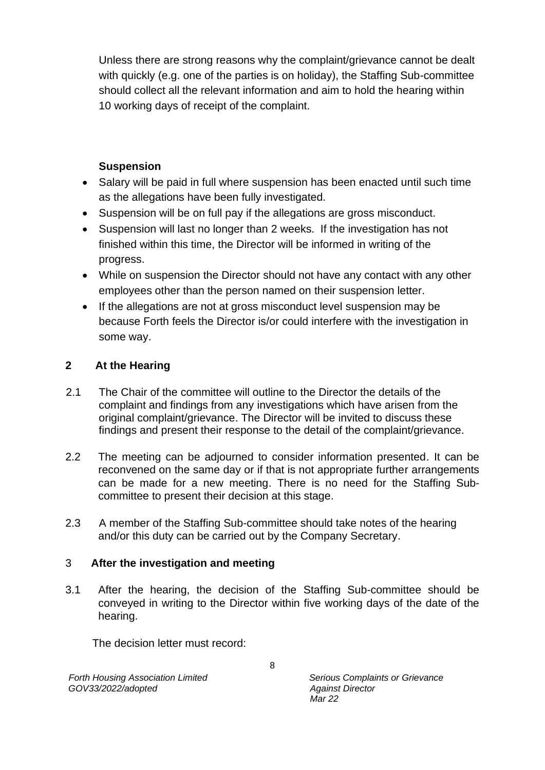Unless there are strong reasons why the complaint/grievance cannot be dealt with quickly (e.g. one of the parties is on holiday), the Staffing Sub-committee should collect all the relevant information and aim to hold the hearing within 10 working days of receipt of the complaint.

#### **Suspension**

- Salary will be paid in full where suspension has been enacted until such time as the allegations have been fully investigated.
- Suspension will be on full pay if the allegations are gross misconduct.
- Suspension will last no longer than 2 weeks. If the investigation has not finished within this time, the Director will be informed in writing of the progress.
- While on suspension the Director should not have any contact with any other employees other than the person named on their suspension letter.
- If the allegations are not at gross misconduct level suspension may be because Forth feels the Director is/or could interfere with the investigation in some way.

# **2 At the Hearing**

- 2.1 The Chair of the committee will outline to the Director the details of the complaint and findings from any investigations which have arisen from the original complaint/grievance. The Director will be invited to discuss these findings and present their response to the detail of the complaint/grievance.
- 2.2 The meeting can be adjourned to consider information presented. It can be reconvened on the same day or if that is not appropriate further arrangements can be made for a new meeting. There is no need for the Staffing Subcommittee to present their decision at this stage.
- 2.3 A member of the Staffing Sub-committee should take notes of the hearing and/or this duty can be carried out by the Company Secretary.

# 3 **After the investigation and meeting**

3.1 After the hearing, the decision of the Staffing Sub-committee should be conveyed in writing to the Director within five working days of the date of the hearing.

The decision letter must record:

*Forth Housing Association Limited Serious Complaints or Grievance GOV33/2022/adopted Against Director* 

 *Mar 22*

8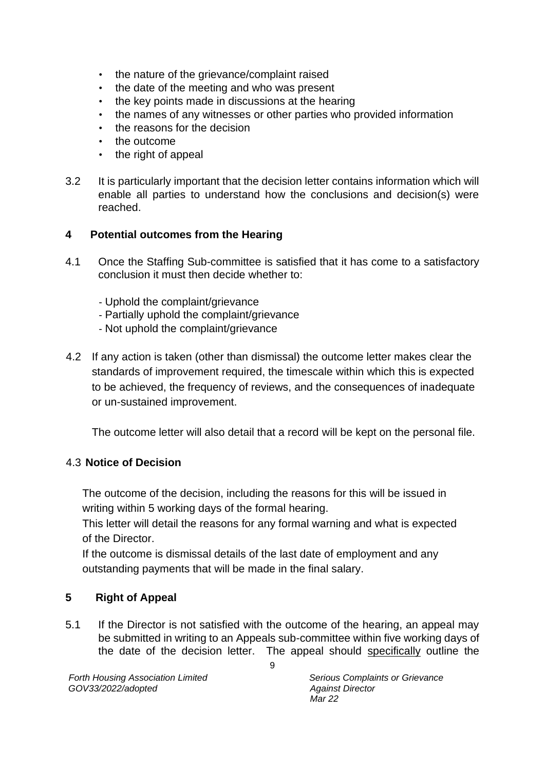- the nature of the grievance/complaint raised
- the date of the meeting and who was present
- the key points made in discussions at the hearing
- the names of any witnesses or other parties who provided information
- the reasons for the decision
- the outcome
- the right of appeal
- 3.2 It is particularly important that the decision letter contains information which will enable all parties to understand how the conclusions and decision(s) were reached.

# **4 Potential outcomes from the Hearing**

- 4.1 Once the Staffing Sub-committee is satisfied that it has come to a satisfactory conclusion it must then decide whether to:
	- Uphold the complaint/grievance
	- Partially uphold the complaint/grievance
	- Not uphold the complaint/grievance
- 4.2 If any action is taken (other than dismissal) the outcome letter makes clear the standards of improvement required, the timescale within which this is expected to be achieved, the frequency of reviews, and the consequences of inadequate or un-sustained improvement.

The outcome letter will also detail that a record will be kept on the personal file.

# 4.3 **Notice of Decision**

The outcome of the decision, including the reasons for this will be issued in writing within 5 working days of the formal hearing.

This letter will detail the reasons for any formal warning and what is expected of the Director.

If the outcome is dismissal details of the last date of employment and any outstanding payments that will be made in the final salary.

# **5 Right of Appeal**

5.1 If the Director is not satisfied with the outcome of the hearing, an appeal may be submitted in writing to an Appeals sub-committee within five working days of the date of the decision letter. The appeal should specifically outline the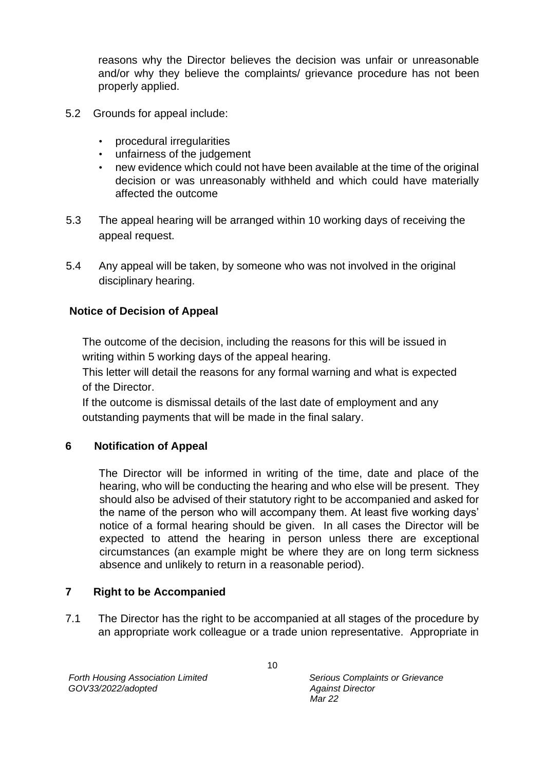reasons why the Director believes the decision was unfair or unreasonable and/or why they believe the complaints/ grievance procedure has not been properly applied.

- 5.2 Grounds for appeal include:
	- procedural irregularities
	- unfairness of the judgement
	- new evidence which could not have been available at the time of the original decision or was unreasonably withheld and which could have materially affected the outcome
- 5.3 The appeal hearing will be arranged within 10 working days of receiving the appeal request.
- 5.4 Any appeal will be taken, by someone who was not involved in the original disciplinary hearing.

# **Notice of Decision of Appeal**

The outcome of the decision, including the reasons for this will be issued in writing within 5 working days of the appeal hearing.

This letter will detail the reasons for any formal warning and what is expected of the Director.

If the outcome is dismissal details of the last date of employment and any outstanding payments that will be made in the final salary.

# **6 Notification of Appeal**

The Director will be informed in writing of the time, date and place of the hearing, who will be conducting the hearing and who else will be present. They should also be advised of their statutory right to be accompanied and asked for the name of the person who will accompany them. At least five working days' notice of a formal hearing should be given. In all cases the Director will be expected to attend the hearing in person unless there are exceptional circumstances (an example might be where they are on long term sickness absence and unlikely to return in a reasonable period).

# **7 Right to be Accompanied**

7.1 The Director has the right to be accompanied at all stages of the procedure by an appropriate work colleague or a trade union representative. Appropriate in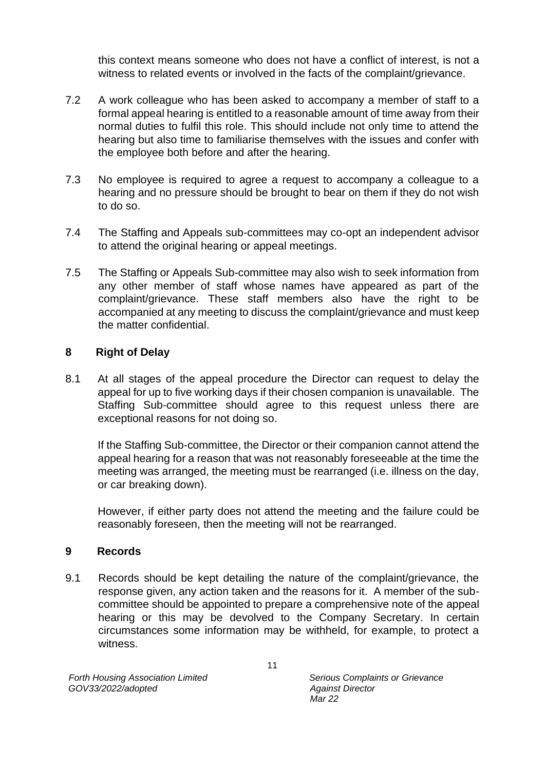this context means someone who does not have a conflict of interest, is not a witness to related events or involved in the facts of the complaint/grievance.

- 7.2 A work colleague who has been asked to accompany a member of staff to a formal appeal hearing is entitled to a reasonable amount of time away from their normal duties to fulfil this role. This should include not only time to attend the hearing but also time to familiarise themselves with the issues and confer with the employee both before and after the hearing.
- 7.3 No employee is required to agree a request to accompany a colleague to a hearing and no pressure should be brought to bear on them if they do not wish to do so.
- 7.4 The Staffing and Appeals sub-committees may co-opt an independent advisor to attend the original hearing or appeal meetings.
- 7.5 The Staffing or Appeals Sub-committee may also wish to seek information from any other member of staff whose names have appeared as part of the complaint/grievance. These staff members also have the right to be accompanied at any meeting to discuss the complaint/grievance and must keep the matter confidential.

#### **8 Right of Delay**

8.1 At all stages of the appeal procedure the Director can request to delay the appeal for up to five working days if their chosen companion is unavailable. The Staffing Sub-committee should agree to this request unless there are exceptional reasons for not doing so.

If the Staffing Sub-committee, the Director or their companion cannot attend the appeal hearing for a reason that was not reasonably foreseeable at the time the meeting was arranged, the meeting must be rearranged (i.e. illness on the day, or car breaking down).

However, if either party does not attend the meeting and the failure could be reasonably foreseen, then the meeting will not be rearranged.

#### **9 Records**

9.1 Records should be kept detailing the nature of the complaint/grievance, the response given, any action taken and the reasons for it. A member of the subcommittee should be appointed to prepare a comprehensive note of the appeal hearing or this may be devolved to the Company Secretary. In certain circumstances some information may be withheld, for example, to protect a witness.